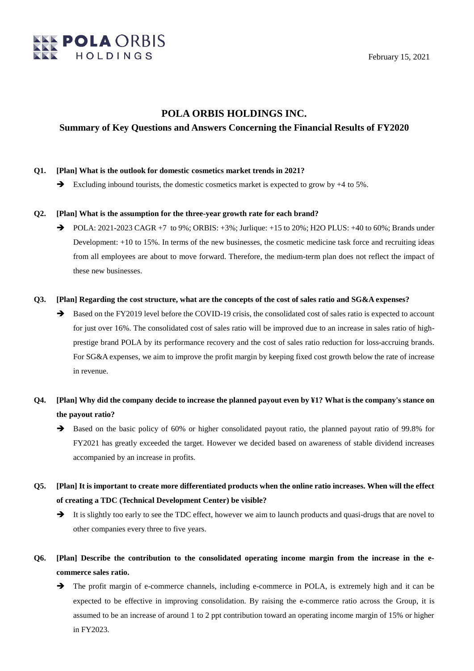

February 15, 2021

## **POLA ORBIS HOLDINGS INC.**

### **Summary of Key Questions and Answers Concerning the Financial Results of FY2020**

### **Q1. [Plan] What is the outlook for domestic cosmetics market trends in 2021?**

 $\rightarrow$  Excluding inbound tourists, the domestic cosmetics market is expected to grow by  $+4$  to 5%.

### **Q2. [Plan] What is the assumption for the three-year growth rate for each brand?**

 $\rightarrow$  POLA: 2021-2023 CAGR +7 to 9%; ORBIS: +3%; Jurlique: +15 to 20%; H2O PLUS: +40 to 60%; Brands under Development: +10 to 15%. In terms of the new businesses, the cosmetic medicine task force and recruiting ideas from all employees are about to move forward. Therefore, the medium-term plan does not reflect the impact of these new businesses.

### **Q3. [Plan] Regarding the cost structure, what are the concepts of the cost of sales ratio and SG&A expenses?**

Based on the FY2019 level before the COVID-19 crisis, the consolidated cost of sales ratio is expected to account for just over 16%. The consolidated cost of sales ratio will be improved due to an increase in sales ratio of highprestige brand POLA by its performance recovery and the cost of sales ratio reduction for loss-accruing brands. For SG&A expenses, we aim to improve the profit margin by keeping fixed cost growth below the rate of increase in revenue.

# **Q4. [Plan] Why did the company decide to increase the planned payout even by ¥1? What is the company's stance on the payout ratio?**

- $\rightarrow$  Based on the basic policy of 60% or higher consolidated payout ratio, the planned payout ratio of 99.8% for FY2021 has greatly exceeded the target. However we decided based on awareness of stable dividend increases accompanied by an increase in profits.
- **Q5. [Plan] It is important to create more differentiated products when the online ratio increases. When will the effect of creating a TDC (Technical Development Center) be visible?**
	- $\rightarrow$  It is slightly too early to see the TDC effect, however we aim to launch products and quasi-drugs that are novel to other companies every three to five years.
- **Q6. [Plan] Describe the contribution to the consolidated operating income margin from the increase in the ecommerce sales ratio.**
	- The profit margin of e-commerce channels, including e-commerce in POLA, is extremely high and it can be expected to be effective in improving consolidation. By raising the e-commerce ratio across the Group, it is assumed to be an increase of around 1 to 2 ppt contribution toward an operating income margin of 15% or higher in FY2023.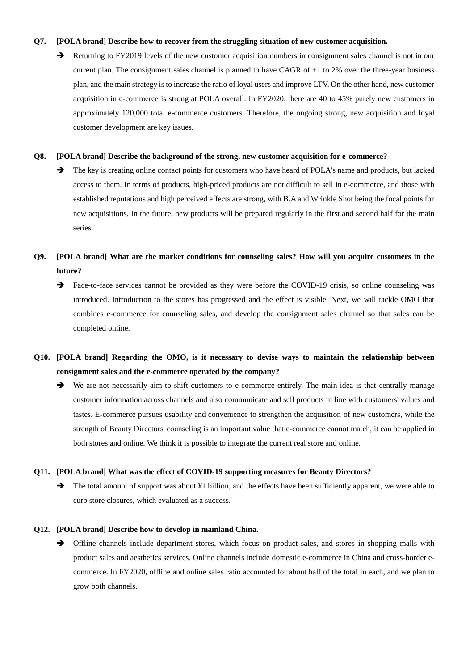### **Q7. [POLA brand] Describe how to recover from the struggling situation of new customer acquisition.**

Returning to FY2019 levels of the new customer acquisition numbers in consignment sales channel is not in our current plan. The consignment sales channel is planned to have CAGR of +1 to 2% over the three-year business plan, and the main strategy is to increase the ratio of loyal users and improve LTV. On the other hand, new customer acquisition in e-commerce is strong at POLA overall. In FY2020, there are 40 to 45% purely new customers in approximately 120,000 total e-commerce customers. Therefore, the ongoing strong, new acquisition and loyal customer development are key issues.

#### **Q8. [POLA brand] Describe the background of the strong, new customer acquisition for e-commerce?**

 $\rightarrow$  The key is creating online contact points for customers who have heard of POLA's name and products, but lacked access to them. In terms of products, high-priced products are not difficult to sell in e-commerce, and those with established reputations and high perceived effects are strong, with B.A and Wrinkle Shot being the focal points for new acquisitions. In the future, new products will be prepared regularly in the first and second half for the main series.

# **Q9. [POLA brand] What are the market conditions for counseling sales? How will you acquire customers in the future?**

 Face-to-face services cannot be provided as they were before the COVID-19 crisis, so online counseling was introduced. Introduction to the stores has progressed and the effect is visible. Next, we will tackle OMO that combines e-commerce for counseling sales, and develop the consignment sales channel so that sales can be completed online.

# **Q10. [POLA brand] Regarding the OMO, is it necessary to devise ways to maintain the relationship between consignment sales and the e-commerce operated by the company?**

We are not necessarily aim to shift customers to e-commerce entirely. The main idea is that centrally manage customer information across channels and also communicate and sell products in line with customers' values and tastes. E-commerce pursues usability and convenience to strengthen the acquisition of new customers, while the strength of Beauty Directors' counseling is an important value that e-commerce cannot match, it can be applied in both stores and online. We think it is possible to integrate the current real store and online.

#### **Q11. [POLA brand] What was the effect of COVID-19 supporting measures for Beauty Directors?**

The total amount of support was about ¥1 billion, and the effects have been sufficiently apparent, we were able to curb store closures, which evaluated as a success.

### **Q12. [POLA brand] Describe how to develop in mainland China.**

 $\rightarrow$  Offline channels include department stores, which focus on product sales, and stores in shopping malls with product sales and aesthetics services. Online channels include domestic e-commerce in China and cross-border ecommerce. In FY2020, offline and online sales ratio accounted for about half of the total in each, and we plan to grow both channels.